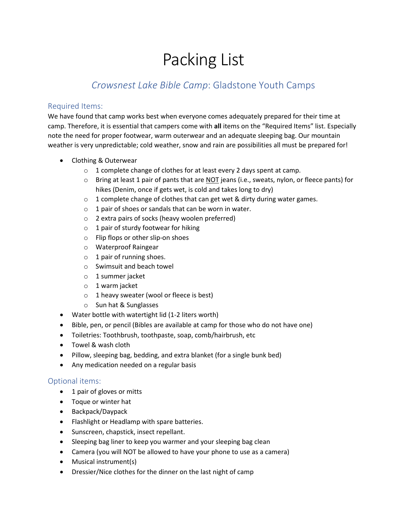# Packing List

## *Crowsnest Lake Bible Camp*: Gladstone Youth Camps

#### Required Items:

We have found that camp works best when everyone comes adequately prepared for their time at camp. Therefore, it is essential that campers come with **all** items on the "Required Items" list. Especially note the need for proper footwear, warm outerwear and an adequate sleeping bag. Our mountain weather is very unpredictable; cold weather, snow and rain are possibilities all must be prepared for!

- Clothing & Outerwear
	- o 1 complete change of clothes for at least every 2 days spent at camp.
	- o Bring at least 1 pair of pants that are NOT jeans (i.e., sweats, nylon, or fleece pants) for hikes (Denim, once if gets wet, is cold and takes long to dry)
	- o 1 complete change of clothes that can get wet & dirty during water games.
	- $\circ$  1 pair of shoes or sandals that can be worn in water.
	- o 2 extra pairs of socks (heavy woolen preferred)
	- $\circ$  1 pair of sturdy footwear for hiking
	- o Flip flops or other slip-on shoes
	- o Waterproof Raingear
	- $\circ$  1 pair of running shoes.
	- o Swimsuit and beach towel
	- o 1 summer jacket
	- o 1 warm jacket
	- $\circ$  1 heavy sweater (wool or fleece is best)
	- o Sun hat & Sunglasses
- Water bottle with watertight lid (1-2 liters worth)
- Bible, pen, or pencil (Bibles are available at camp for those who do not have one)
- Toiletries: Toothbrush, toothpaste, soap, comb/hairbrush, etc
- Towel & wash cloth
- Pillow, sleeping bag, bedding, and extra blanket (for a single bunk bed)
- Any medication needed on a regular basis

### Optional items:

- 1 pair of gloves or mitts
- Toque or winter hat
- Backpack/Daypack
- Flashlight or Headlamp with spare batteries.
- Sunscreen, chapstick, insect repellant.
- Sleeping bag liner to keep you warmer and your sleeping bag clean
- Camera (you will NOT be allowed to have your phone to use as a camera)
- Musical instrument(s)
- Dressier/Nice clothes for the dinner on the last night of camp